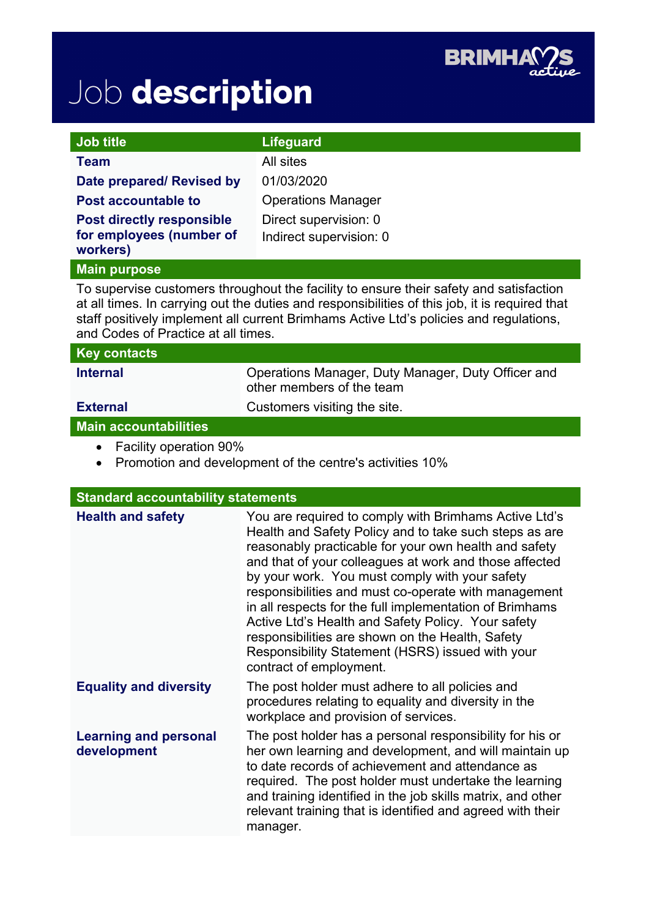

## Job description

| Job title                                                                                                                                                                                                                                                                                                                 | <b>Lifeguard</b>                                                                                                                                                                                                                                                                                                                                                                                                                                                                                                                                                                                 |
|---------------------------------------------------------------------------------------------------------------------------------------------------------------------------------------------------------------------------------------------------------------------------------------------------------------------------|--------------------------------------------------------------------------------------------------------------------------------------------------------------------------------------------------------------------------------------------------------------------------------------------------------------------------------------------------------------------------------------------------------------------------------------------------------------------------------------------------------------------------------------------------------------------------------------------------|
| <b>Team</b>                                                                                                                                                                                                                                                                                                               | All sites                                                                                                                                                                                                                                                                                                                                                                                                                                                                                                                                                                                        |
| Date prepared/ Revised by                                                                                                                                                                                                                                                                                                 | 01/03/2020                                                                                                                                                                                                                                                                                                                                                                                                                                                                                                                                                                                       |
| <b>Post accountable to</b>                                                                                                                                                                                                                                                                                                | <b>Operations Manager</b>                                                                                                                                                                                                                                                                                                                                                                                                                                                                                                                                                                        |
| <b>Post directly responsible</b><br>for employees (number of<br>workers)                                                                                                                                                                                                                                                  | Direct supervision: 0<br>Indirect supervision: 0                                                                                                                                                                                                                                                                                                                                                                                                                                                                                                                                                 |
| <b>Main purpose</b>                                                                                                                                                                                                                                                                                                       |                                                                                                                                                                                                                                                                                                                                                                                                                                                                                                                                                                                                  |
| To supervise customers throughout the facility to ensure their safety and satisfaction<br>at all times. In carrying out the duties and responsibilities of this job, it is required that<br>staff positively implement all current Brimhams Active Ltd's policies and regulations,<br>and Codes of Practice at all times. |                                                                                                                                                                                                                                                                                                                                                                                                                                                                                                                                                                                                  |
| <b>Key contacts</b>                                                                                                                                                                                                                                                                                                       |                                                                                                                                                                                                                                                                                                                                                                                                                                                                                                                                                                                                  |
| <b>Internal</b>                                                                                                                                                                                                                                                                                                           | Operations Manager, Duty Manager, Duty Officer and<br>other members of the team                                                                                                                                                                                                                                                                                                                                                                                                                                                                                                                  |
| <b>External</b>                                                                                                                                                                                                                                                                                                           | Customers visiting the site.                                                                                                                                                                                                                                                                                                                                                                                                                                                                                                                                                                     |
| <b>Main accountabilities</b>                                                                                                                                                                                                                                                                                              |                                                                                                                                                                                                                                                                                                                                                                                                                                                                                                                                                                                                  |
| <b>Facility operation 90%</b><br>$\bullet$<br>Promotion and development of the centre's activities 10%<br>$\bullet$                                                                                                                                                                                                       |                                                                                                                                                                                                                                                                                                                                                                                                                                                                                                                                                                                                  |
|                                                                                                                                                                                                                                                                                                                           |                                                                                                                                                                                                                                                                                                                                                                                                                                                                                                                                                                                                  |
| <b>Standard accountability statements</b>                                                                                                                                                                                                                                                                                 |                                                                                                                                                                                                                                                                                                                                                                                                                                                                                                                                                                                                  |
| <b>Health and safety</b>                                                                                                                                                                                                                                                                                                  | You are required to comply with Brimhams Active Ltd's<br>Health and Safety Policy and to take such steps as are<br>reasonably practicable for your own health and safety<br>and that of your colleagues at work and those affected<br>by your work. You must comply with your safety<br>responsibilities and must co-operate with management<br>in all respects for the full implementation of Brimhams<br>Active Ltd's Health and Safety Policy. Your safety<br>responsibilities are shown on the Health, Safety<br>Responsibility Statement (HSRS) issued with your<br>contract of employment. |
| <b>Equality and diversity</b>                                                                                                                                                                                                                                                                                             | The post holder must adhere to all policies and<br>procedures relating to equality and diversity in the<br>workplace and provision of services.                                                                                                                                                                                                                                                                                                                                                                                                                                                  |